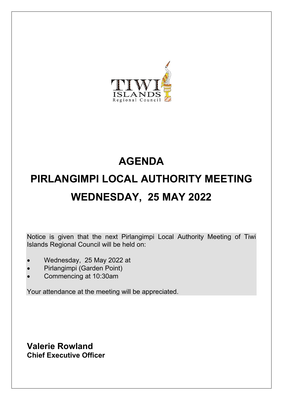

# **AGENDA PIRLANGIMPI LOCAL AUTHORITY MEETING WEDNESDAY, 25 MAY 2022**

Notice is given that the next Pirlangimpi Local Authority Meeting of Tiwi Islands Regional Council will be held on:

- Wednesday, 25 May 2022 at
- Pirlangimpi (Garden Point)
- Commencing at 10:30am

Your attendance at the meeting will be appreciated.

**Valerie Rowland Chief Executive Officer**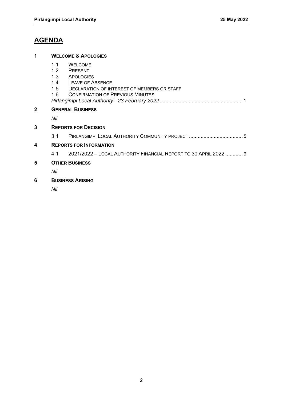# **AGENDA**

# **1 WELCOME & APOLOGIES**

- 1.1 WELCOME<br>1.2 PRESENT
- 1.2 PRESENT<br>1.3 APOLOGIE
- 1.3 APOLOGIES<br>1.4 LEAVE OF A
- 1.4 LEAVE OF ABSENCE<br>1.5 DECLARATION OF IN
- DECLARATION OF INTEREST OF MEMBERS OR STAFF
- 1.6 CONFIRMATION OF PREVIOUS MINUTES

|--|--|

# **2 GENERAL BUSINESS**

*Nil* 

# **3 REPORTS FOR DECISION**

3.1 PIRLANGIMPI LOCAL AUTHORITY COMMUNITY PROJECT ..................................... 5

# **4 REPORTS FOR INFORMATION**

4.1 2021/2022 – LOCAL AUTHORITY FINANCIAL REPORT TO 30 APRIL 2022 ............ 9

# **5 OTHER BUSINESS**

*Nil* 

# **6 BUSINESS ARISING**

*Nil*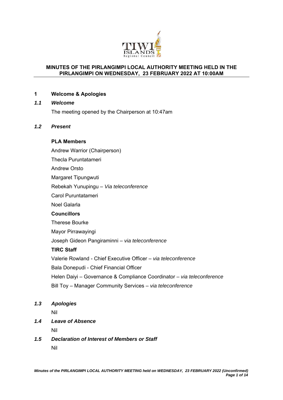

# **MINUTES OF THE PIRLANGIMPI LOCAL AUTHORITY MEETING HELD IN THE PIRLANGIMPI ON WEDNESDAY, 23 FEBRUARY 2022 AT 10:00AM**

# **1 Welcome & Apologies**

# *1.1 Welcome*

The meeting opened by the Chairperson at 10:47am

# *1.2 Present*

# **PLA Members**

Andrew Warrior (Chairperson)

Thecla Puruntatameri

Andrew Orsto

Margaret Tipungwuti

Rebekah Yunupingu – *Via teleconference*

Carol Puruntatameri

Noel Galarla

# **Councillors**

Therese Bourke

Mayor Pirrawayingi

Joseph Gideon Pangiraminni – *via teleconference*

# **TIRC Staff**

Valerie Rowland - Chief Executive Officer – *via teleconference* Bala Donepudi - Chief Financial Officer Helen Daiyi – Governance & Compliance Coordinator *– via teleconference*

Bill Toy – Manager Community Services – *via teleconference*

# *1.3 Apologies*

Nil

*1.4 Leave of Absence* 

Nil

*1.5 Declaration of Interest of Members or Staff*  Nil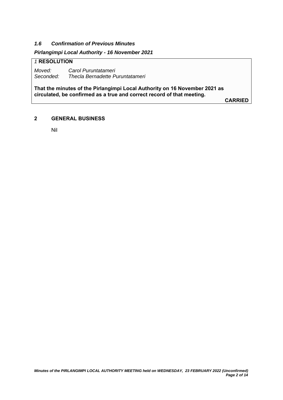# *1.6 Confirmation of Previous Minutes*

# *Pirlangimpi Local Authority - 16 November 2021*

# *1* **RESOLUTION**

*Moved: Carol Puruntatameri Seconded: Thecla Bernadette Puruntatameri* 

**That the minutes of the Pirlangimpi Local Authority on 16 November 2021 as circulated, be confirmed as a true and correct record of that meeting.** 

**CARRIED**

# **2 GENERAL BUSINESS**

Nil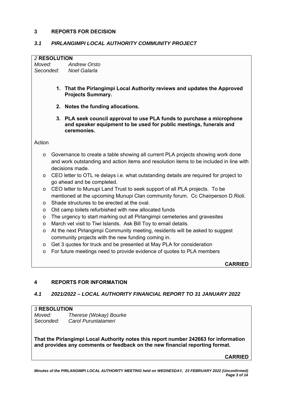# **3 REPORTS FOR DECISION**

# *3.1 PIRLANGIMPI LOCAL AUTHORITY COMMUNITY PROJECT*

#### *2* **RESOLUTION**

*Moved: Andrew Orsto Seconded: Noel Galarla* 

- **1. That the Pirlangimpi Local Authority reviews and updates the Approved Projects Summary.**
- **2. Notes the funding allocations.**
- **3. PLA seek council approval to use PLA funds to purchase a microphone and speaker equipment to be used for public meetings, funerals and ceremonies.**

Action

- o Governance to create a table showing all current PLA projects showing work done and work outstanding and action items and resolution items to be included in line with decisions made.
- o CEO letter to OTL re delays i.e. what outstanding details are required for project to go ahead and be completed.
- o CEO letter to Munupi Land Trust to seek support of all PLA projects. To be mentioned at the upcoming Munupi Clan community forum. Cc Chairperson D.Rioli.
- o Shade structures to be erected at the oval.
- o Old camp toilets refurbished with new allocated funds
- o The urgency to start marking out all Pirlangimpi cemeteries and gravesites
- o March vet visit to Tiwi Islands. Ask Bill Toy to email details.
- o At the next Pirlangimpi Community meeting, residents will be asked to suggest community projects with the new funding coming in.
- o Get 3 quotes for truck and be presented at May PLA for consideration
- o For future meetings need to provide evidence of quotes to PLA members

**CARRIED**

# **4 REPORTS FOR INFORMATION**

# *4.1 2021/2022 – LOCAL AUTHORITY FINANCIAL REPORT TO 31 JANUARY 2022*

# *3* **RESOLUTION**

*Moved: Therese (Wokay) Bourke Seconded: Carol Puruntatameri* 

**That the Pirlangimpi Local Authority notes this report number 242663 for information and provides any comments or feedback on the new financial reporting format.** 

**CARRIED**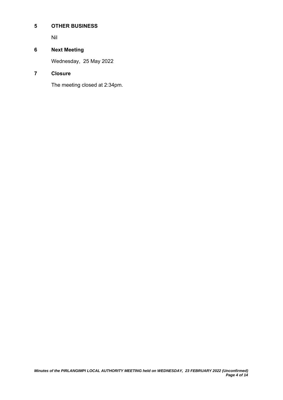# **5 OTHER BUSINESS**

Nil

# **6 Next Meeting**

Wednesday, 25 May 2022

# **7 Closure**

The meeting closed at 2:34pm.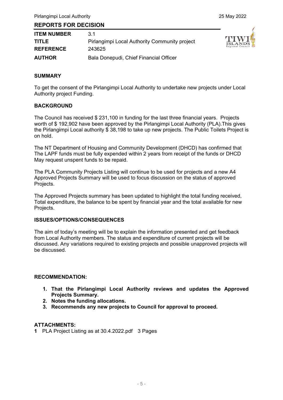# **REPORTS FOR DECISION**

| <b>ITEM NUMBER</b> | 31                                            |
|--------------------|-----------------------------------------------|
| <b>TITLE</b>       | Pirlangimpi Local Authority Community project |
| <b>REFERENCE</b>   | 243625                                        |
| <b>AUTHOR</b>      | Bala Donepudi, Chief Financial Officer        |



#### **SUMMARY**

To get the consent of the Pirlangimpi Local Authority to undertake new projects under Local Authority project Funding.

#### **BACKGROUND**

The Council has received \$ 231,100 in funding for the last three financial years. Projects worth of \$ 192,902 have been approved by the Pirlangimpi Local Authority (PLA).This gives the Pirlangimpi Local authority \$ 38,198 to take up new projects. The Public Toilets Project is on hold.

The NT Department of Housing and Community Development (DHCD) has confirmed that The LAPF funds must be fully expended within 2 years from receipt of the funds or DHCD May request unspent funds to be repaid.

The PLA Community Projects Listing will continue to be used for projects and a new A4 Approved Projects Summary will be used to focus discussion on the status of approved Projects.

The Approved Projects summary has been updated to highlight the total funding received, Total expenditure, the balance to be spent by financial year and the total available for new Projects.

#### **ISSUES/OPTIONS/CONSEQUENCES**

The aim of today's meeting will be to explain the information presented and get feedback from Local Authority members. The status and expenditure of current projects will be discussed. Any variations required to existing projects and possible unapproved projects will be discussed.

#### **RECOMMENDATION:**

- **1. That the Pirlangimpi Local Authority reviews and updates the Approved Projects Summary.**
- **2. Notes the funding allocations.**
- **3. Recommends any new projects to Council for approval to proceed.**

# **ATTACHMENTS:**

**1** PLA Project Listing as at 30.4.2022.pdf 3 Pages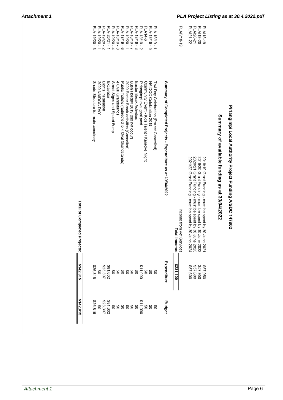| \$142,815     | \$142,815                                                                                                                                                                                                                                                          | Total of Completed<br>Projects:                                                                                                                                         |                   |
|---------------|--------------------------------------------------------------------------------------------------------------------------------------------------------------------------------------------------------------------------------------------------------------------|-------------------------------------------------------------------------------------------------------------------------------------------------------------------------|-------------------|
|               |                                                                                                                                                                                                                                                                    |                                                                                                                                                                         |                   |
| \$26,816      | \$26,816                                                                                                                                                                                                                                                           | Shade Structure for main cemetrery                                                                                                                                      | PLA-19/20-3       |
|               |                                                                                                                                                                                                                                                                    | 2020 NAIDOC DAY                                                                                                                                                         | PLA-19/20-1       |
|               |                                                                                                                                                                                                                                                                    | Lights Installation                                                                                                                                                     | PLA-19/20 - 2     |
|               |                                                                                                                                                                                                                                                                    | Excavator                                                                                                                                                               | PLA-20/21 - 1     |
|               |                                                                                                                                                                                                                                                                    | Street Signs and Speed Bump                                                                                                                                             | PLA-19/20-4       |
|               | $\begin{smallmatrix} 60.00000\\ 0.00000\\ 0.00000\\ 0.00000\\ 0.00000\\ 0.00000\\ 0.00000\\ 0.00000\\ 0.00000\\ 0.00000\\ 0.00000\\ 0.00000\\ 0.00000\\ 0.00000\\ 0.00000\\ 0.00000\\ 0.00000\\ 0.00000\\ 0.00000\\ 0.00000\\ 0.00000\\ 0.00000\\ 0.00000\\ 0.000$ | 4 Oval Grandstands                                                                                                                                                      | PLA-18/19-8       |
|               |                                                                                                                                                                                                                                                                    | Public Toilets (redirected to 4 Oval Grandstands)                                                                                                                       | PLA-18/19 - 6     |
|               |                                                                                                                                                                                                                                                                    | 2020 Easter Break activities (Cancelled)                                                                                                                                | PLA-19/20-1       |
|               |                                                                                                                                                                                                                                                                    | Bush Holiday 2019 (did not occur)                                                                                                                                       | PLA-18/19-7       |
|               |                                                                                                                                                                                                                                                                    | Easter Break Activities                                                                                                                                                 | PLA-18/19-3       |
|               |                                                                                                                                                                                                                                                                    | Pirlangimpi oval goal post                                                                                                                                              | PLA-18/19-2       |
|               |                                                                                                                                                                                                                                                                    | Community Event - Kids Talent / Karaoke Night                                                                                                                           | <b>PLA14-6</b>    |
|               |                                                                                                                                                                                                                                                                    | NAIDOC Celebration 2019                                                                                                                                                 | $PLA - 18/19 - 5$ |
|               |                                                                                                                                                                                                                                                                    | Tiwi Day Celebration (Project Cancelled)                                                                                                                                | PLA 18/19-1       |
| <b>Budget</b> | Expenditure                                                                                                                                                                                                                                                        | Summary of Completed Projects - Expenditure as at 30/04/2022                                                                                                            |                   |
|               | \$231,100                                                                                                                                                                                                                                                          | Total<br>Income:                                                                                                                                                        |                   |
|               |                                                                                                                                                                                                                                                                    | Income from Vet Services                                                                                                                                                | PLAIV18-19        |
|               |                                                                                                                                                                                                                                                                    | 2021/22 Grant Funding - must be spent by 30 June 2024                                                                                                                   | PLAI21-22         |
|               | \$57,950<br>\$57,950<br>\$57,600<br>\$57,600                                                                                                                                                                                                                       | 2018/19 Grant Funding - must be spent by 30 June 2021<br>2019/20 Grant Funding - must be spent by 30 June 2022<br>2020/21 Grant Funding - must be spent by 30 June 2023 | PLAI20-21         |
|               |                                                                                                                                                                                                                                                                    |                                                                                                                                                                         | PLAI19-20         |
|               |                                                                                                                                                                                                                                                                    |                                                                                                                                                                         | <b>PLAI18-19</b>  |
|               |                                                                                                                                                                                                                                                                    |                                                                                                                                                                         |                   |
|               |                                                                                                                                                                                                                                                                    | Summary of available funding as at 30/04/2022                                                                                                                           |                   |
|               |                                                                                                                                                                                                                                                                    | Pirlangimpi Local Authority Project Funding A/SDC 147802                                                                                                                |                   |
|               |                                                                                                                                                                                                                                                                    |                                                                                                                                                                         |                   |
|               |                                                                                                                                                                                                                                                                    |                                                                                                                                                                         |                   |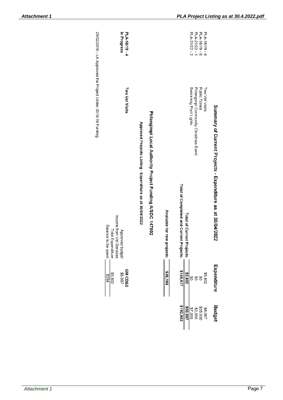| P-61/81-V7d<br>In Progress                                                                                          |                                                          |                                                          |                             |                                          |                            | PLA-21/22-1<br>PLA-21/22 - 2                                  | $9 - 61/81 - 61d$           | PLA-18/19-4    |                                                            |
|---------------------------------------------------------------------------------------------------------------------|----------------------------------------------------------|----------------------------------------------------------|-----------------------------|------------------------------------------|----------------------------|---------------------------------------------------------------|-----------------------------|----------------|------------------------------------------------------------|
| <b>Two Vet Visits</b><br>Income from Vet Services<br>Balance<br>Approved budget<br>Total Expenditure<br>to be spent | Approved Projects Listing - Expenditure as at 30/04/2022 | Pirlangimpi Local Authority Project Funding A/SDC 147802 | Available for new projects: | Total of Completed and Current Projects: | Total of Current Projects: | Swimming Pool Lights<br>Pirlangimpi Community Christmas Event | <b>Public Toilets</b>       | Two Vet Visits | Summary of Current Projects - Expenditure as at 30/04/2022 |
| <b>GM CD&amp;S</b><br>\$6,087<br>\$5,802<br>18284                                                                   |                                                          |                                                          | \$38,198                    | \$148,617                                | \$5,802                    | SQ<br>ర్ల                                                     | ĝθ                          | \$5,802        | Expenditure                                                |
|                                                                                                                     |                                                          |                                                          |                             | \$192,902                                | \$50,087                   | \$7,000                                                       | <b>\$35,000<br/>\$2,000</b> | \$6,087        | <b>Budget</b>                                              |

25/02/2019 - LA Approved the Project Under 2018-19 Funding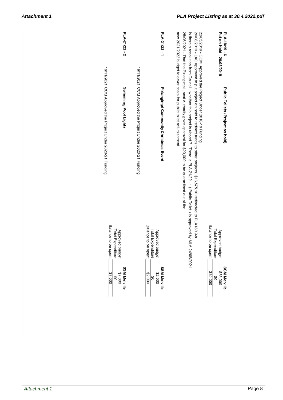| PLA-21/22 - 2                                                                     |                                                           | PLA-21/22-1                                                    |                                                                                                                                                                                                                                                                                                                                                                                                                                                                                                                                                                           | Put on Hold - 20/08/2019<br>PLA-18/19 - 6                      |
|-----------------------------------------------------------------------------------|-----------------------------------------------------------|----------------------------------------------------------------|---------------------------------------------------------------------------------------------------------------------------------------------------------------------------------------------------------------------------------------------------------------------------------------------------------------------------------------------------------------------------------------------------------------------------------------------------------------------------------------------------------------------------------------------------------------------------|----------------------------------------------------------------|
| 16/11/2021 OCM Approved the Project Under 2020-21 Funding<br>Swimming Pool Lights | 16/11/2021 OCM Approved the Project Under 2020-21 Funding | Pirlangimpi Community Christmas Event                          | new 2021/2022 budget to cover costs for public toilet refurbishment<br>25/05/2021 - That the Pirlangimpi Local Authority gives approval for \$20,000 to be quarantined out of the<br>20/08/2019 - LAC approved to put project on hold to redirect funds to other projects. \$13,575.10 redirected to PLA18/19-8<br>22/05/2019 - OCM Approved the Project Under 2018-19 Funding<br>Is there a resolution Counting Science is the state is Plat 21/22 -1 (Public Tomage 1) The issed ? . Thene is the state of the state of the state of the state of the state of $\alpha$ | Public Toilets (Project on hold)                               |
| Balance<br>Total Expenditure<br>Approved budget<br>to be spent                    |                                                           | Balance<br>Total Expenditure<br>Approved budget<br>to be spent | MLA 24/08/2021                                                                                                                                                                                                                                                                                                                                                                                                                                                                                                                                                            | Balance<br>Total Expenditure<br>Approved budget<br>to be spent |
| <b>SSM Melville</b><br>\$7,000<br>\$7,000<br>S                                    |                                                           | <b>SSM Melville</b><br>\$2,000<br>\$2,000<br>S                 |                                                                                                                                                                                                                                                                                                                                                                                                                                                                                                                                                                           | <b>SSM Melville</b><br>\$35,000<br>\$35,000<br>s               |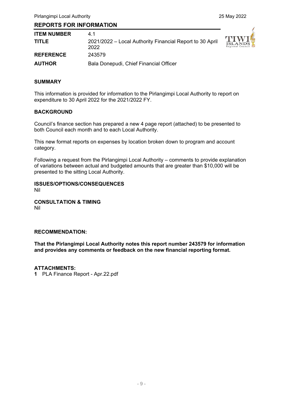# **REPORTS FOR INFORMATION**

| <b>ITEM NUMBER</b> | 41                                                               |                                 |
|--------------------|------------------------------------------------------------------|---------------------------------|
| <b>TITLE</b>       | 2021/2022 – Local Authority Financial Report to 30 April<br>2022 | $\frac{1}{1}$<br>R <sub>c</sub> |
| <b>REFERENCE</b>   | 243579                                                           |                                 |
| <b>AUTHOR</b>      | Bala Donepudi, Chief Financial Officer                           |                                 |



# **SUMMARY**

This information is provided for information to the Pirlangimpi Local Authority to report on expenditure to 30 April 2022 for the 2021/2022 FY.

#### **BACKGROUND**

Council's finance section has prepared a new 4 page report (attached) to be presented to both Council each month and to each Local Authority.

This new format reports on expenses by location broken down to program and account category.

Following a request from the Pirlangimpi Local Authority – comments to provide explanation of variations between actual and budgeted amounts that are greater than \$10,000 will be presented to the sitting Local Authority.

**ISSUES/OPTIONS/CONSEQUENCES**  Nil

**CONSULTATION & TIMING**  Nil

#### **RECOMMENDATION:**

**That the Pirlangimpi Local Authority notes this report number 243579 for information and provides any comments or feedback on the new financial reporting format.**

#### **ATTACHMENTS:**

**1** PLA Finance Report - Apr.22.pdf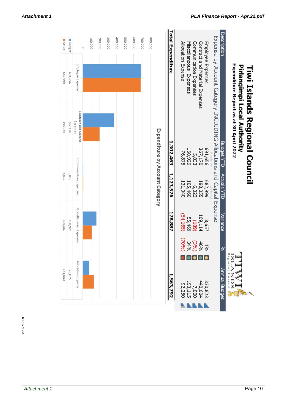| Actual  | Budget  |                                   | $\circ$ | 100,000 | 200,000 | 300,000 | 400,000 | 500,000 | 600,000 | 700,000 | 800,000 |                                 | <b>Total Expenditure</b> |                    |                        |                        |                                |                   |                                                                       | Description        |                                                                       |                               |
|---------|---------|-----------------------------------|---------|---------|---------|---------|---------|---------|---------|---------|---------|---------------------------------|--------------------------|--------------------|------------------------|------------------------|--------------------------------|-------------------|-----------------------------------------------------------------------|--------------------|-----------------------------------------------------------------------|-------------------------------|
| 665'789 | 691,656 | Employee Expenses                 |         |         |         |         |         |         |         |         |         |                                 |                          | Allocation Expense | Miscellaneous Expenses | Communication Expenses | Contract and Material Expenses | Employee Expenses |                                                                       |                    |                                                                       |                               |
| 198,055 | 367,170 | Contract and Material<br>Expenses |         |         |         |         |         |         |         |         |         |                                 | 1,302,463                |                    |                        |                        |                                |                   | Expense by Account Category INCLUDING Allocations and Capital Expense |                    | Expenditure Report as at 30 April 2022<br>Pirlangimpi Local Authority | Tiwi Islands Regional Council |
|         |         |                                   |         |         |         |         |         |         |         |         |         |                                 |                          | 76,875             | 160,929                | 5,833                  | 367,170                        | 691,656           |                                                                       | <b>Budget YTD</b>  |                                                                       |                               |
| 6,022   | 5,833   | Communication Expenses            |         |         |         |         |         |         |         |         |         | Expenditure by Account Category | 1,123,576                | 131,040            | 105,460                | 6,022                  | 198,055                        | 665'789           |                                                                       | <b>Actuals YTD</b> |                                                                       |                               |
| 105,460 | 160,929 | Miscellaneous Expenses            |         |         |         |         |         |         |         |         |         |                                 | 178,887                  | (54, 165)          | 55,469                 | (188)                  | 169,114                        | 8,657             |                                                                       | Variance           |                                                                       |                               |
|         |         |                                   |         |         |         |         |         |         |         |         |         |                                 |                          | (9602)             | $1\% \n(3\%)\n34\%$    |                        |                                |                   |                                                                       | ್ಯ                 |                                                                       |                               |
| 131,040 | 76,875  | Allocation Expense                |         |         |         |         |         |         |         |         |         |                                 | 1,563,792                | 92,250             | 193,115                | 7,000                  | 830,823<br>440,604             |                   |                                                                       | Annual Budget      | Regiona<br>Counci<br>DS                                               |                               |
|         |         |                                   |         |         |         |         |         |         |         |         |         |                                 |                          |                    |                        |                        |                                |                   |                                                                       |                    |                                                                       |                               |

Dann 1 of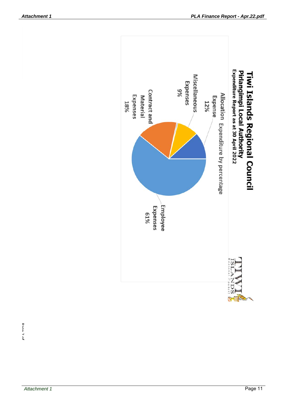